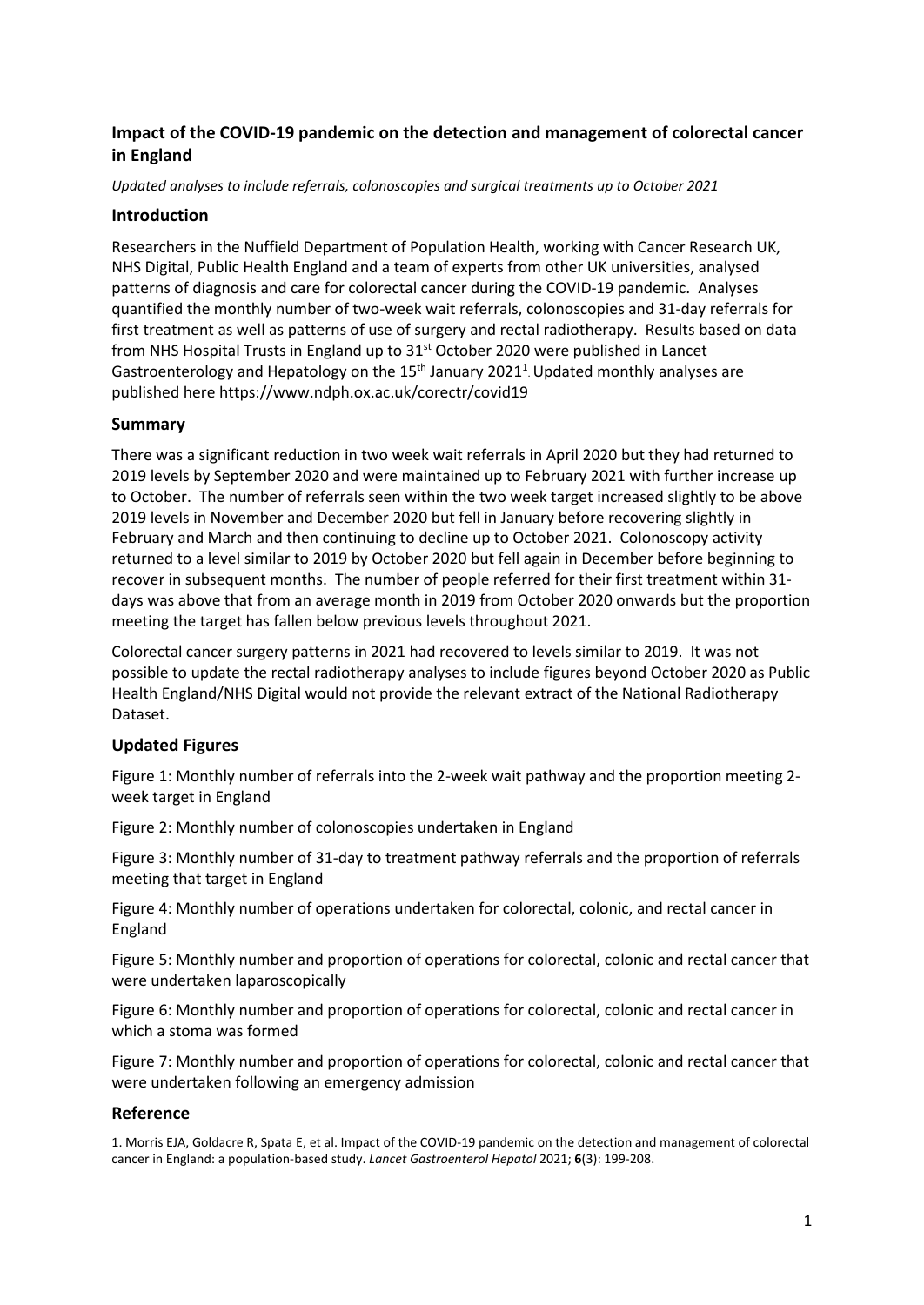# **Impact of the COVID-19 pandemic on the detection and management of colorectal cancer in England**

*Updated analyses to include referrals, colonoscopies and surgical treatments up to October 2021* 

## **Introduction**

Researchers in the Nuffield Department of Population Health, working with Cancer Research UK, NHS Digital, Public Health England and a team of experts from other UK universities, analysed patterns of diagnosis and care for colorectal cancer during the COVID-19 pandemic. Analyses quantified the monthly number of two-week wait referrals, colonoscopies and 31-day referrals for first treatment as well as patterns of use of surgery and rectal radiotherapy. Results based on data from NHS Hospital Trusts in England up to 31<sup>st</sup> October 2020 were published in Lancet Gastroenterology and Hepatology on the  $15<sup>th</sup>$  January 2021<sup>1</sup>. Updated monthly analyses are published here https://www.ndph.ox.ac.uk/corectr/covid19

# **Summary**

There was a significant reduction in two week wait referrals in April 2020 but they had returned to 2019 levels by September 2020 and were maintained up to February 2021 with further increase up to October. The number of referrals seen within the two week target increased slightly to be above 2019 levels in November and December 2020 but fell in January before recovering slightly in February and March and then continuing to decline up to October 2021. Colonoscopy activity returned to a level similar to 2019 by October 2020 but fell again in December before beginning to recover in subsequent months. The number of people referred for their first treatment within 31 days was above that from an average month in 2019 from October 2020 onwards but the proportion meeting the target has fallen below previous levels throughout 2021.

Colorectal cancer surgery patterns in 2021 had recovered to levels similar to 2019. It was not possible to update the rectal radiotherapy analyses to include figures beyond October 2020 as Public Health England/NHS Digital would not provide the relevant extract of the National Radiotherapy Dataset.

# **Updated Figures**

Figure 1: Monthly number of referrals into the 2-week wait pathway and the proportion meeting 2 week target in England

Figure 2: Monthly number of colonoscopies undertaken in England

Figure 3: Monthly number of 31-day to treatment pathway referrals and the proportion of referrals meeting that target in England

Figure 4: Monthly number of operations undertaken for colorectal, colonic, and rectal cancer in England

Figure 5: Monthly number and proportion of operations for colorectal, colonic and rectal cancer that were undertaken laparoscopically

Figure 6: Monthly number and proportion of operations for colorectal, colonic and rectal cancer in which a stoma was formed

Figure 7: Monthly number and proportion of operations for colorectal, colonic and rectal cancer that were undertaken following an emergency admission

## **Reference**

1. Morris EJA, Goldacre R, Spata E, et al. Impact of the COVID-19 pandemic on the detection and management of colorectal cancer in England: a population-based study. *Lancet Gastroenterol Hepatol* 2021; **6**(3): 199-208.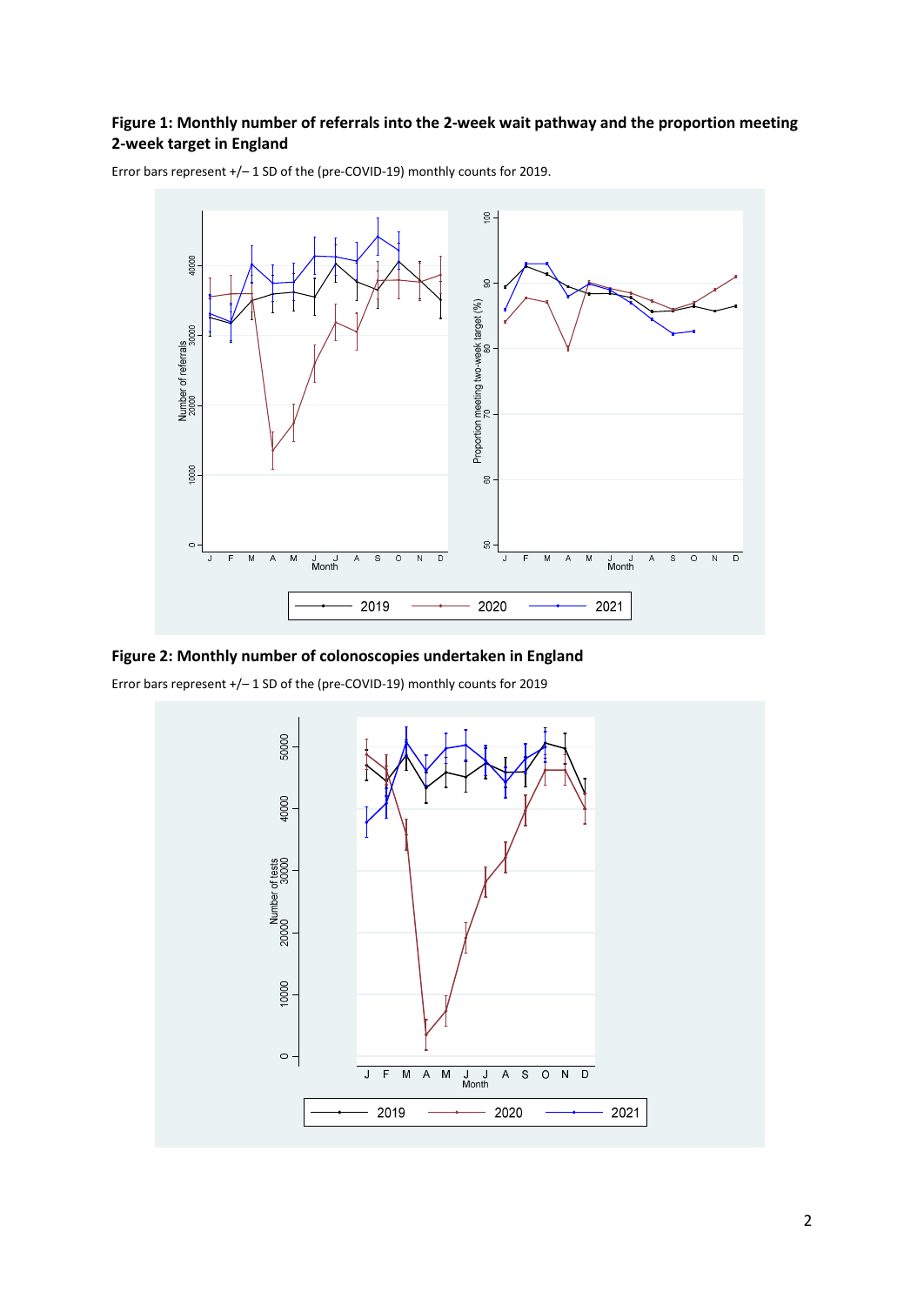## **Figure 1: Monthly number of referrals into the 2-week wait pathway and the proportion meeting 2-week target in England**



Error bars represent +/– 1 SD of the (pre-COVID-19) monthly counts for 2019.

#### **Figure 2: Monthly number of colonoscopies undertaken in England**

Error bars represent +/– 1 SD of the (pre-COVID-19) monthly counts for 2019

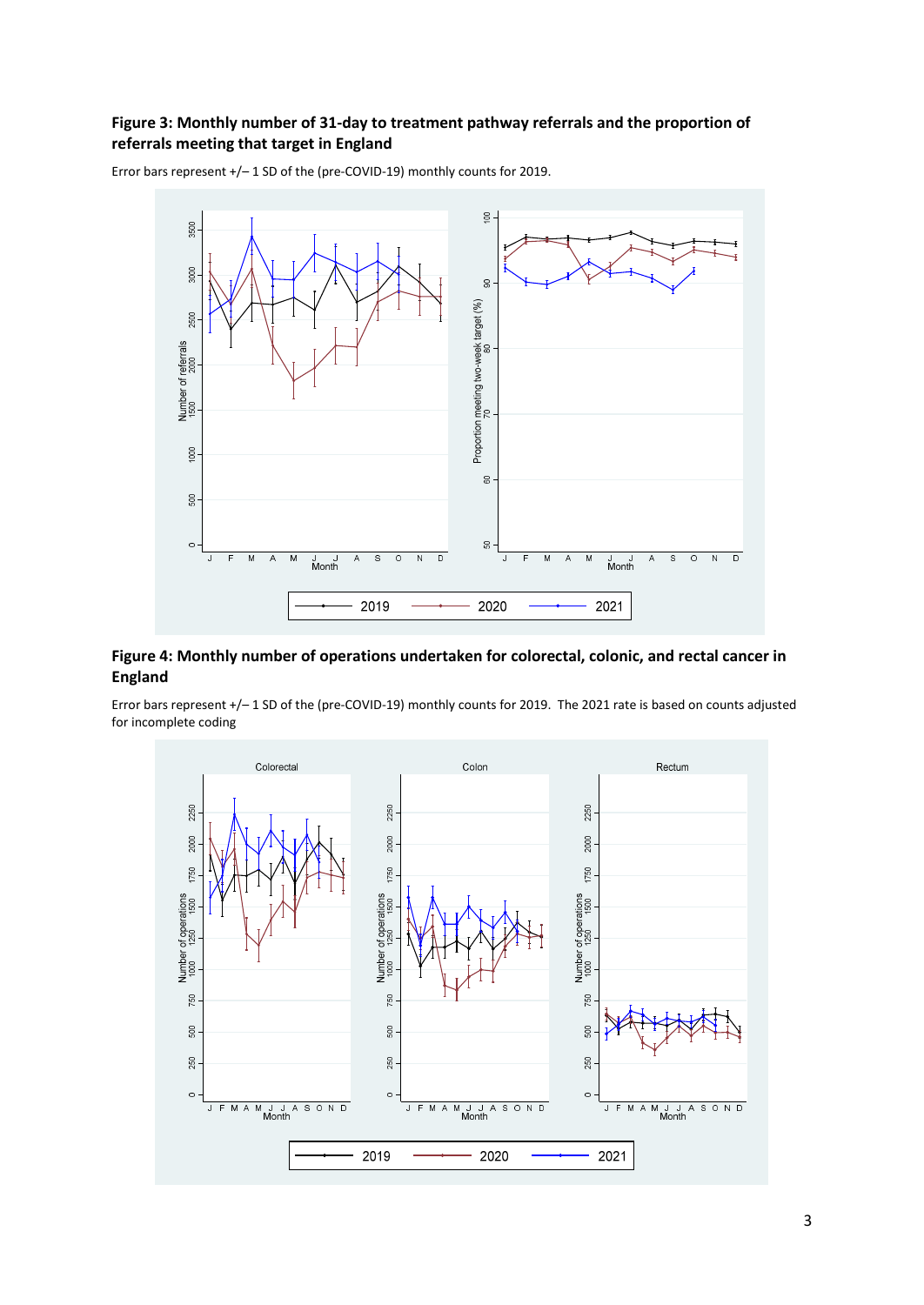## **Figure 3: Monthly number of 31-day to treatment pathway referrals and the proportion of referrals meeting that target in England**



Error bars represent +/– 1 SD of the (pre-COVID-19) monthly counts for 2019.

### **Figure 4: Monthly number of operations undertaken for colorectal, colonic, and rectal cancer in England**

Error bars represent +/– 1 SD of the (pre-COVID-19) monthly counts for 2019. The 2021 rate is based on counts adjusted for incomplete coding

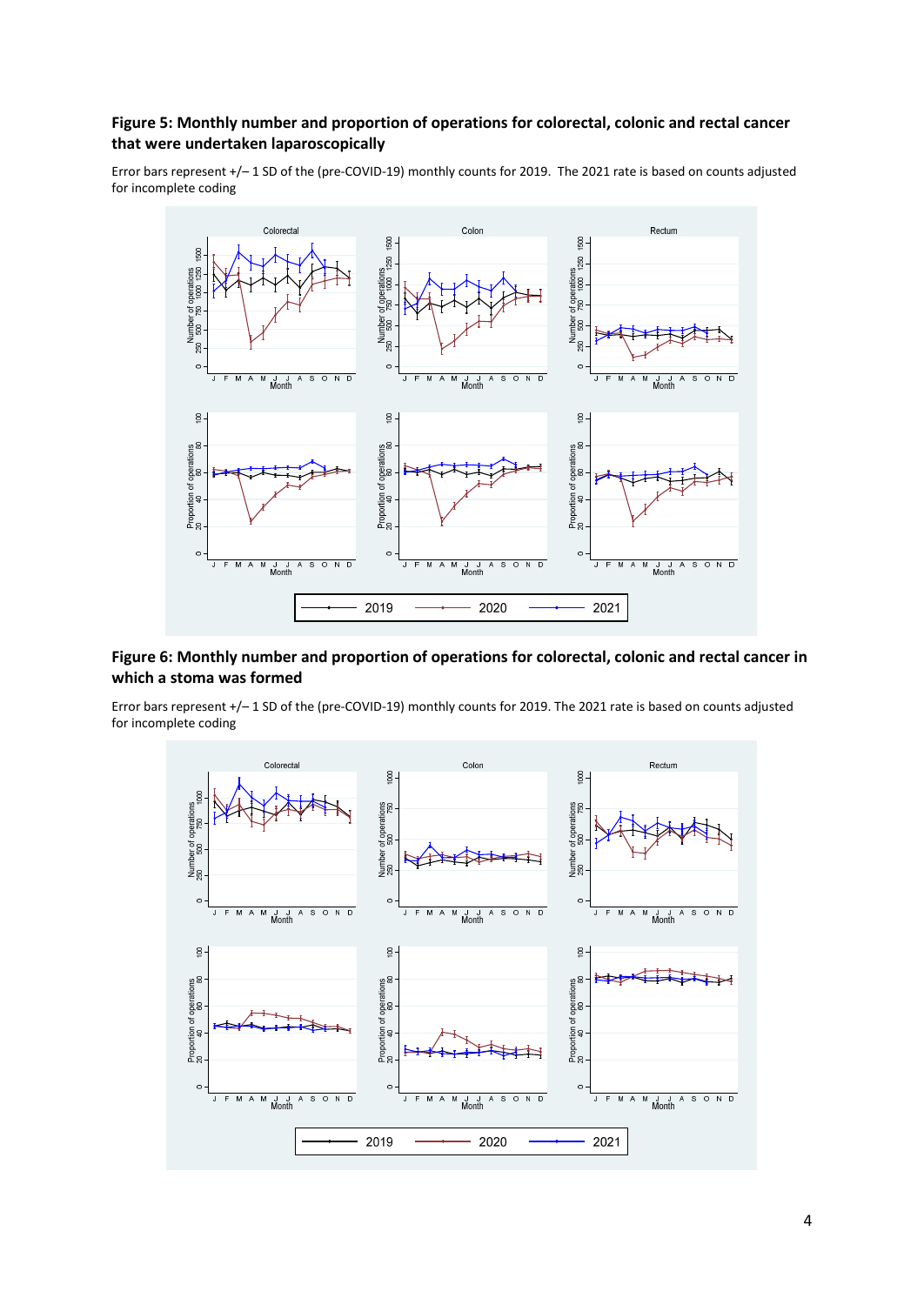#### **Figure 5: Monthly number and proportion of operations for colorectal, colonic and rectal cancer that were undertaken laparoscopically**

Error bars represent +/– 1 SD of the (pre-COVID-19) monthly counts for 2019. The 2021 rate is based on counts adjusted for incomplete coding



#### **Figure 6: Monthly number and proportion of operations for colorectal, colonic and rectal cancer in which a stoma was formed**

Error bars represent +/– 1 SD of the (pre-COVID-19) monthly counts for 2019. The 2021 rate is based on counts adjusted for incomplete coding